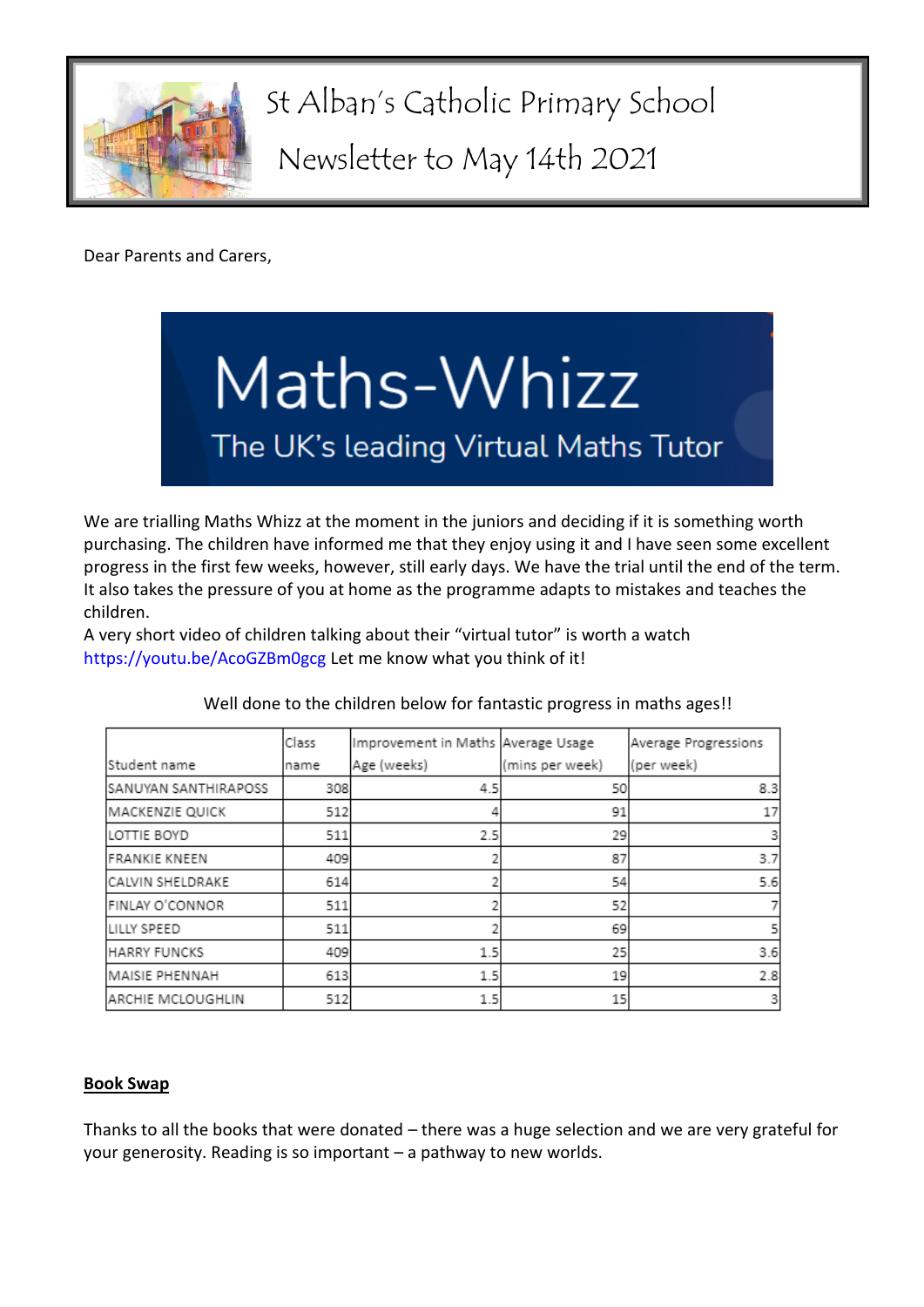

St Alban's Catholic Primary School

Newsletter to May 14th 2021

Dear Parents and Carers,



We are trialling Maths Whizz at the moment in the juniors and deciding if it is something worth purchasing. The children have informed me that they enjoy using it and I have seen some excellent progress in the first few weeks, however, still early days. We have the trial until the end of the term. It also takes the pressure of you at home as the programme adapts to mistakes and teaches the children.

A very short video of children talking about their "virtual tutor" is worth a watch <https://youtu.be/AcoGZBm0gcg> Let me know what you think of it!

|                      | Class | Improvement in Maths Average Usage |                 | Average Progressions |
|----------------------|-------|------------------------------------|-----------------|----------------------|
| Student name         | Iname | Age (weeks)                        | (mins per week) | (per week)           |
| SANUYAN SANTHIRAPOSS | 308   | 4.5                                | 50              | 8.3                  |
| MACKENZIE QUICK      | 512   |                                    | 91              | 17                   |
| LOTTIE BOYD          | 511   | 2.5                                | 29              | 3                    |
| <b>FRANKIE KNEEN</b> | 409   |                                    | 87              | 3.7                  |
| CALVIN SHELDRAKE     | 614   |                                    | 54              | 5.6                  |
| FINLAY O'CONNOR      | 511   |                                    | 52              |                      |
| LILLY SPEED          | 511   |                                    | 69              |                      |
| <b>HARRY FUNCKS</b>  | 409   | 1.5                                | 25              | 3.6                  |
| MAISIE PHENNAH       | 613   | 1.5                                | 19              | 2.8                  |
| ARCHIE MCLOUGHLIN    | 512   | 1.5                                | 15              | 3                    |

Well done to the children below for fantastic progress in maths ages!!

# **Book Swap**

Thanks to all the books that were donated – there was a huge selection and we are very grateful for your generosity. Reading is so important – a pathway to new worlds.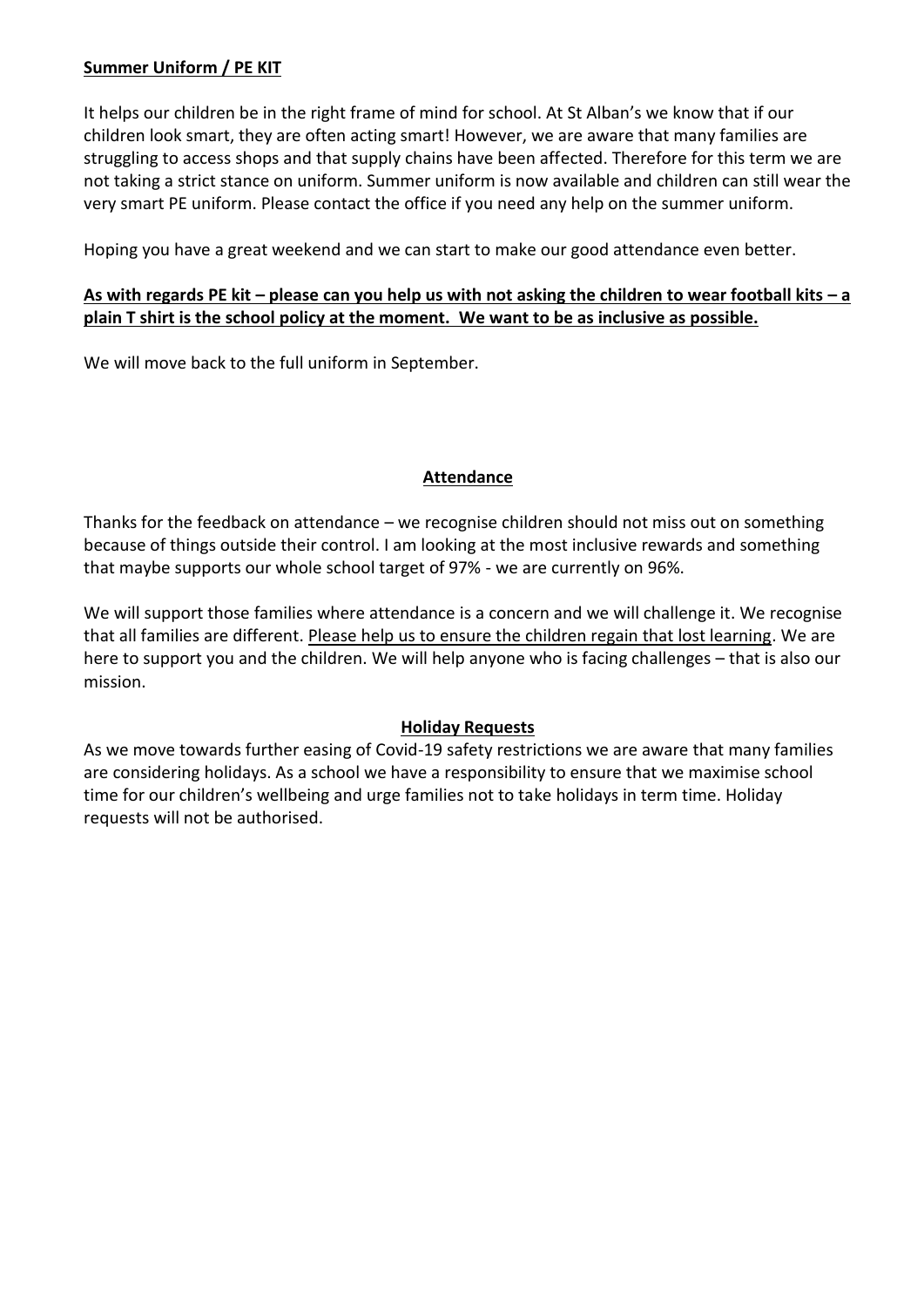# **Summer Uniform / PE KIT**

It helps our children be in the right frame of mind for school. At St Alban's we know that if our children look smart, they are often acting smart! However, we are aware that many families are struggling to access shops and that supply chains have been affected. Therefore for this term we are not taking a strict stance on uniform. Summer uniform is now available and children can still wear the very smart PE uniform. Please contact the office if you need any help on the summer uniform.

Hoping you have a great weekend and we can start to make our good attendance even better.

# **As with regards PE kit – please can you help us with not asking the children to wear football kits – a plain T shirt is the school policy at the moment. We want to be as inclusive as possible.**

We will move back to the full uniform in September.

# **Attendance**

Thanks for the feedback on attendance – we recognise children should not miss out on something because of things outside their control. I am looking at the most inclusive rewards and something that maybe supports our whole school target of 97% - we are currently on 96%.

We will support those families where attendance is a concern and we will challenge it. We recognise that all families are different. Please help us to ensure the children regain that lost learning. We are here to support you and the children. We will help anyone who is facing challenges – that is also our mission.

# **Holiday Requests**

As we move towards further easing of Covid-19 safety restrictions we are aware that many families are considering holidays. As a school we have a responsibility to ensure that we maximise school time for our children's wellbeing and urge families not to take holidays in term time. Holiday requests will not be authorised.